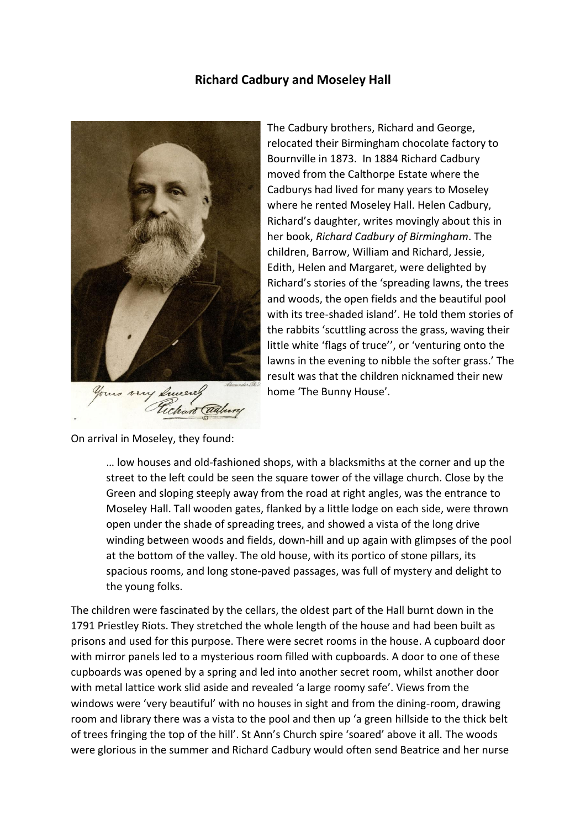## **Richard Cadbury and Moseley Hall**



The Cadbury brothers, Richard and George, relocated their Birmingham chocolate factory to Bournville in 1873. In 1884 Richard Cadbury moved from the Calthorpe Estate where the Cadburys had lived for many years to Moseley where he rented Moseley Hall. Helen Cadbury, Richard's daughter, writes movingly about this in her book, *Richard Cadbury of Birmingham*. The children, Barrow, William and Richard, Jessie, Edith, Helen and Margaret, were delighted by Richard's stories of the 'spreading lawns, the trees and woods, the open fields and the beautiful pool with its tree-shaded island'. He told them stories of the rabbits 'scuttling across the grass, waving their little white 'flags of truce'', or 'venturing onto the lawns in the evening to nibble the softer grass.' The result was that the children nicknamed their new home 'The Bunny House'.

On arrival in Moseley, they found:

… low houses and old-fashioned shops, with a blacksmiths at the corner and up the street to the left could be seen the square tower of the village church. Close by the Green and sloping steeply away from the road at right angles, was the entrance to Moseley Hall. Tall wooden gates, flanked by a little lodge on each side, were thrown open under the shade of spreading trees, and showed a vista of the long drive winding between woods and fields, down-hill and up again with glimpses of the pool at the bottom of the valley. The old house, with its portico of stone pillars, its spacious rooms, and long stone-paved passages, was full of mystery and delight to the young folks.

The children were fascinated by the cellars, the oldest part of the Hall burnt down in the 1791 Priestley Riots. They stretched the whole length of the house and had been built as prisons and used for this purpose. There were secret rooms in the house. A cupboard door with mirror panels led to a mysterious room filled with cupboards. A door to one of these cupboards was opened by a spring and led into another secret room, whilst another door with metal lattice work slid aside and revealed 'a large roomy safe'. Views from the windows were 'very beautiful' with no houses in sight and from the dining-room, drawing room and library there was a vista to the pool and then up 'a green hillside to the thick belt of trees fringing the top of the hill'. St Ann's Church spire 'soared' above it all. The woods were glorious in the summer and Richard Cadbury would often send Beatrice and her nurse